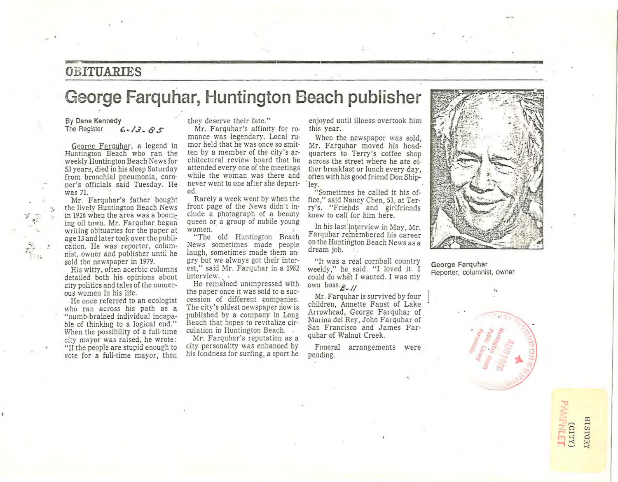### **= OBITUARIES**

## **George Farquhar, Huntington Beach publisher**

#### By Dana Kennedy<br>The Register  $6 - 13 - 85$

George Faruuhar, a legend in Huntington Beach who ran the weekly Huntington Beach News for 53 years, died in his sleep Saturday from bronchial pneumonia, coroner's officials said Tuesday. He

Mr. Farquhar's father bought the lively Huntington Beach News in 1926 when the area was a booming oil town. Mr. Farquhar. began writing obituaries for the paper at age 13 and later took over the publi**cation. He was reporter, colum**nist, owner and publisher until he sold the newspaper in 1979.

His witty, often acerbic columns detailed both his opinions about city politics and tales of the numerous women in his life.

He once referred to an ecologist who ran across his path as a "numb-brained individual incapable of thinking to a logical end." When the possibility of a full-time city mayor was raised, he wrote: "If the people are stupid enough to vote for a full-time mayor, then

they deserve their fate."

Mr. Farquhar's affinity for romance was legendary. Local rumor held that he was once so smitten by a member of the city's architectural review board that he attended everyone of the meetings while the woman was there and never went to one after she depart- 'ley. ed.

Rarely a week went by when the **front page of the News didn't in**clude a photograph of a beauty queen or a group of nubile young **women.** 

"The old Huntington Beach **News sometimes made people**  laugh, sometimes made them angry but we always got their interest," said Mr. Farquhar in a 1982 **interview.** 

He remained unimpressed with the paper once it was sold to a suc**cession of different companies.**  The city's oldest newspaper riow is published by a company in Long Beach that hopes to revitalize circulation in Huntington Beach.

Mr. Farquhar's reputation as a city personality was enhanced by his fondness for surfing, a sport he

enjoyed until illness overtook him this year.

When the newspaper was sold, Mr. Farquhar moved his headquarters to Terry's coffee shop **across the street where he ate ei**ther breakfast or lunch every day, often with his good friend Don Ship-

"Sometimes he called it his office ," said Nancy Chen, 53, at Terry's. " Friends and girlfriends knew to call ·for him here.

In his last'in\erview in May, Mr. Farquhar reinembered his career on the Huntington Beach News as a dream job.

"It was a real cornball country weekly," he said. "I loved it. I could do what I wanted. I was my own boss. $B - I$ 

Mr. Farquhar is survived by four children, Annette Faust of Lake Arrowhead, George Farquhar of Marina del Rey, John Farquhar of San Francisco and James Farquhar of Walnut Creek.

**Funeral arrangements were**  pending.



George Farquhar **Reporter, columnist, owner** 



**HISTORY** (CITY)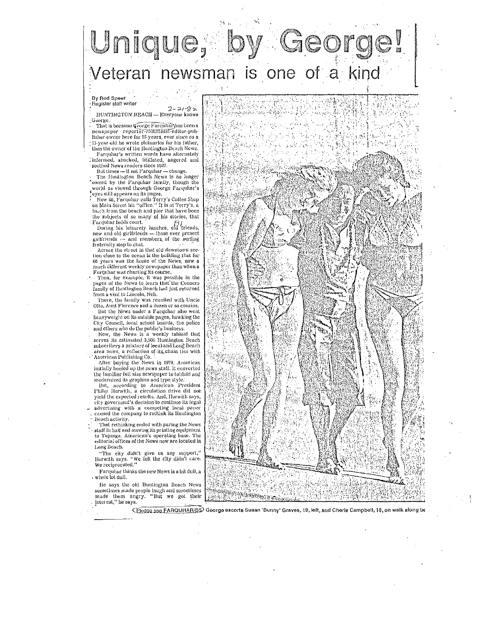# Unique, Veteran newsman is one of a kind

### .<br>By Rod Speer .<br>- Register staff writer

 $2 - 21 - 82$ HUNTINGTON BEACH - Everyone knows George

That is because Ceorge Farquhar has been a newspaper reporter-columnst-editor-publisher-owner here for 55 years, ever since as a 13-year-old he wrote obituaries for his father, then the owner of the Huntington Beach News.

Farquhar's written words have alternately informed, shocked, titillated, angered and soothed News readers since 1927.

But times - if not Faroubar - change.

The Huntington Beach News is no longer 'owned by the Farquhar family, though the world as viewed through George Farquhar's eyes still appears on its pages.

, eyes still appears on its pages.<br>• Now 68, Farquhar calls Terry's Coffee Shop<br>• on Main Street his "office," It is at Terry's, a block from the beach and pier that have been the subjects of so many of his stories, that Farquhar holds court.<br>During his leisurely lunches, old friends,

new and old girlfriends — those ever present<br>girlfriends — and members, of the surfing fraternity stop to chat.

Across the street in that old downtown section close to the ocean is the building that for 66 years was the home of the News, now a nuch different weekly newspaper than when a Farquhar was charting its course.

Then, for example, it was possible in the<br>pages of the News to learn that the Conners family of Huntington Beach had just returned from a visit to Lincoln, Neb.

There, the family was reunited with Uncle Ofte. Aunt Florence and a dozen or so cousins. But the News under a Farquhar also went heavyweight on its outside pages, hawking the City Council, local school boards, the police and others who do the public's business.

Now, the News is a weekly tabloid that<br>serves its estimated 3,500 Huntington Beach subscribers a mixture of local and Long Beach area news, a reflection of its chain ties with American Publishing Co. After buying the News in 1978, American

initially beefed up the news staff. It converted the familiar full-size newspaper to tabloid and

modernized its graphics and type style.<br>But, according to American President<br>Philip Horwith, a circulation drive did not yield the expected results. And, Horwith says. city governient's decision to continue its legal advertising with a competing local paper<br>caused the company to rethink its Huntington Beach activity.

That rethinking ended with paring the News staff in half and moving its printing equipment<br>to Tujunga, American's operating base. The editorial offices of the News now are located in Long Beach.

"The city didn't give us any support,"<br>Horwith says, "We felt the city didn't care.<br>We reciprocated,"

Farquhar thinks the new News is a bit dull, a , whole lot dull.

He says the old Huntington Beach News sometimes made people laugh and sometimes<br>made them angry. "But we got their interest." he says



O 10339 S90 FARQUHAR/BS George escorts Susan 'Bunny' Graves, 19, left, and Cherie Campbell, 18, on walk along be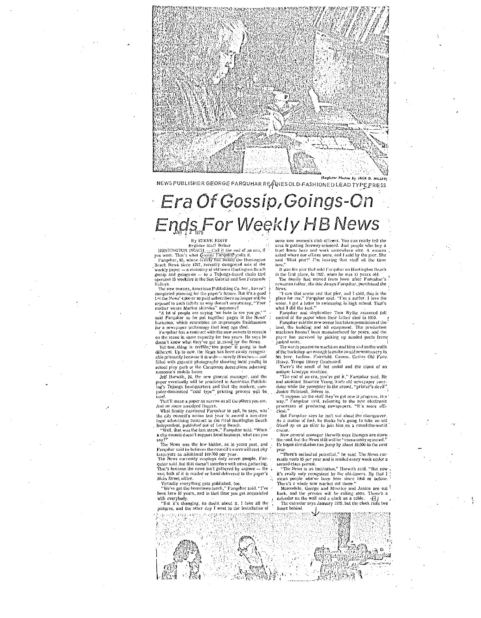

NEWS PUBLISHER GEORGE FARQUHAR READIES OLD FASHIONED LEAD TYPE PRESS

## Era Of Gossip, Goings-On Ends For Weekly HB News

#### By STEVE EDDY

Register Staff Writer<br>HUNTINGTON BEACH --- Call it the end of an era, if

FOURTHY FOUR DEAL COMPACT - Call is the refer of an erri, it<br>pays what That's what George Farquing peaks it.<br>Farquing, 65, whose family has owned the Huntington<br>Reach News since 1927, recently completed sate of the<br>weekly

operates 15 weeklies in the San Gabriel and San Fernando<br>
Valleys.<br>
The new owners, American Publishing Co. Juc., haven't<br>
completed planing for the paper's future. But it's a good<br>
cryptical better than the paper's futur

state Taiwan as the premises an impromptu Smithsonian<br>for a newspaper technology that long ago died.<br>Farquhar has a contract with the new owners to remain

on the scene in some capacity for two years. He says he

on the scene in some capacity for two years. He says no<br>desn't know what they've got in mind for the News.<br>Yel Sone, thing is cerfs in the paper is going to look<br>different. Up to now, the News has been easily recogniz-<br>ab filled with gigantic photographs showing local youths in school play garb or the Christmas decorations adorning<br>someone's mobile home.

Jeff Horwith, 24, the new general manager, said the paper eventually will be produced in American Publishing's Tujunga headquarters and that the modern, computer-dominated "cold type" printing process will be

used.<br>That'll mean a paper as narrow as all the others you see.<br>That'll mean a paper as narrow as all the others you see. And no more smodited finiters.

And no more smouped practice and the says, was<br>the city council's action has year to award a lucrative<br>legal advertising contract to the rival Hundington Beach<br>Lingui advertising contract to the rival Hundington Beach<br>Inde

a city council doesn't support local business, what can you

 $\frac{\text{say}^{q1t}}{\text{The News was the low bidder, as in years past, and}}$ Farquitar said he believes the council's move will cost city<br>Laxpayers an additional \$10,000 per year.<br>The News currently employs only seven people, Far-

quhar said, but that doesn't interfere with news gathering.<br>That's because the news isn't gathered by anyone  $-$  the vast bulk of it is mailed or hand-delivered to the paper's Main Street office.<br>
Virtually everything gets published, too.

"We've got the bometown touch," Farquhar said. "I've<br>been here 52 years, and in that time you get acquainted with everybody

"But it's changing, no doubt about it. I take all the pictures, and the other day I went to the installation of

some new women's club officers. You can really tell the area is getting freeway-oriented. Just people who buy a tract home here and work somewhere else. A woman asked where our offices were not I said by the nier. She said 'What pier?' I'm hearing that stuff all the time now.

It was the nier that sold Paraubar on Huntington Beach in the first place, in 1927, when he was 13 years old.<br>The family had moved from fown after Farquhar's newsman father, the late James Farquhar, purchased the

.....<br>"I saw that ocean and that pier, and I said, this is the

place for me," Europhar said. This a surfer. I love the water. I got a letter in swimming in high school. That's what I did the best." Fargoliar and stepbrother Tom Wyllie assumed full<br>control of the paper when their father died in 1970.

 $\frac{1}{2}$  and the poper when their tattac died in 1970.<br>Facultar staid the new owner has taken possession of the land, the building and all equipment. The production<br>machines haven't been manufactured for years, and the<br>p paper has survived by picking up needed parts from junked units.

The words you see on machines and bins and on the walls of the backshop are enough to make an old newsman cry in<br>his beer. Ludlow. Fairchild, Cameo, Caslon Old Face.

and Summary Section 1. Suppose all the stuff they've got now is progress, in a way," Farquhar said, referring to the new electronic processes of producing newspapers. "It's more effi-<br>processes of producing newspapers. "It 'cient.

But Farquhar says he isn't sad about the changeover. As a matter of fact, he thinks he's going to take an old friend up on an offer to join him on a round-the-world cruise.

New general manager Horwith says changes are down<br>the road, but the News still will be "community oriented."<br>He hopes circulation can jump by about 10,000 in the next

year.<br>"There's unlimited potential," he said. The News cur-<br>"There's unlimited potential is unlied overy week under a really costs \$5 per year and is mailed every week under a second-class permit.<br>"The News is an institution," Horwith said. "But now

it's really only recognized by the old-timers. By that I ! mean people who've been here since 1960 or before. There's a whole new market out there.

Meanwhile, Grew and Maurice and Janice are out<br>back, and the presses will be rolling soon. There's a calendar on the wall and a clock on a table.  $-63$ 

alendar on the wall and a clock on a table.  $\{3\}$ <br>The calendar says January 1979, but the clock runs two hours behind.



Heavy. Tempo Heavy Condensed.<br>There's the smell of hot metal and the clank of an